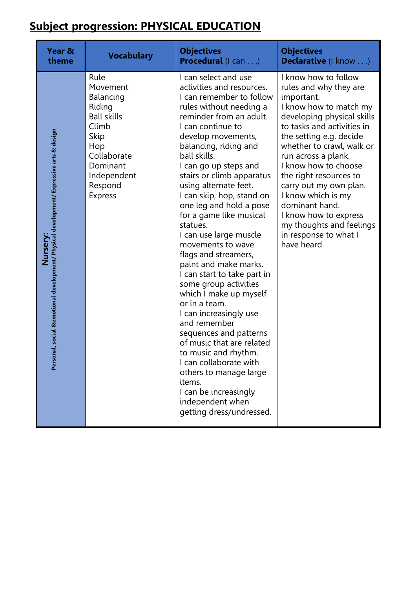## **Subject progression: PHYSICAL EDUCATION**

| Year &                                                                                                   | <b>Vocabulary</b>                                                                                                                                            | <b>Objectives</b>                                                                                                                                                                                                                                                                                                                                                                                                                                                                                                                                                                                                                                                                                                                                                                                                                                                       | <b>Objectives</b>                                                                                                                                                                                                                                                                                                                                                                                                                                  |
|----------------------------------------------------------------------------------------------------------|--------------------------------------------------------------------------------------------------------------------------------------------------------------|-------------------------------------------------------------------------------------------------------------------------------------------------------------------------------------------------------------------------------------------------------------------------------------------------------------------------------------------------------------------------------------------------------------------------------------------------------------------------------------------------------------------------------------------------------------------------------------------------------------------------------------------------------------------------------------------------------------------------------------------------------------------------------------------------------------------------------------------------------------------------|----------------------------------------------------------------------------------------------------------------------------------------------------------------------------------------------------------------------------------------------------------------------------------------------------------------------------------------------------------------------------------------------------------------------------------------------------|
| theme                                                                                                    |                                                                                                                                                              | <b>Procedural</b> (I can)                                                                                                                                                                                                                                                                                                                                                                                                                                                                                                                                                                                                                                                                                                                                                                                                                                               | Declarative (I know)                                                                                                                                                                                                                                                                                                                                                                                                                               |
| nal, social &emotional development/ Physical development/ Expressive arts & design<br>Nursery:<br>Persor | Rule<br>Movement<br>Balancing<br>Riding<br><b>Ball skills</b><br>Climb<br>Skip<br>Hop<br>Collaborate<br>Dominant<br>Independent<br>Respond<br><b>Express</b> | I can select and use<br>activities and resources.<br>I can remember to follow<br>rules without needing a<br>reminder from an adult.<br>I can continue to<br>develop movements,<br>balancing, riding and<br>ball skills.<br>I can go up steps and<br>stairs or climb apparatus<br>using alternate feet.<br>I can skip, hop, stand on<br>one leg and hold a pose<br>for a game like musical<br>statues.<br>I can use large muscle<br>movements to wave<br>flags and streamers,<br>paint and make marks.<br>I can start to take part in<br>some group activities<br>which I make up myself<br>or in a team.<br>I can increasingly use<br>and remember<br>sequences and patterns<br>of music that are related<br>to music and rhythm<br>I can collaborate with<br>others to manage large<br>items.<br>I can be increasingly<br>independent when<br>getting dress/undressed. | I know how to follow<br>rules and why they are<br>important.<br>I know how to match my<br>developing physical skills<br>to tasks and activities in<br>the setting e.g. decide<br>whether to crawl, walk or<br>run across a plank.<br>I know how to choose<br>the right resources to<br>carry out my own plan.<br>I know which is my<br>dominant hand.<br>I know how to express<br>my thoughts and feelings<br>in response to what I<br>have heard. |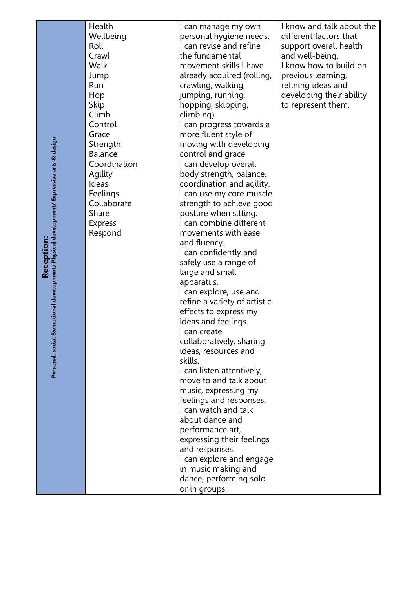| Health       |
|--------------|
| Wellbeing    |
| Roll         |
| Crawl        |
| Walk         |
| Jump         |
| Run          |
| Hop          |
| Skip         |
| Climb        |
| Control      |
| Grace        |
| Strength     |
| Balance      |
| Coordination |
| Agility      |
| Ideas        |
| Feelings     |
| Collaborate  |
| Share        |
| Express      |
| Respond      |

I can manage my own personal hygiene needs. I can revise and refine the fundamental movement skills I have already acquired (rolling, crawling, walking, jumping, running, hopping, skipping, climbing). I can progress towards a more fluent style of moving with developing control and grace. I can develop overall body strength, balance, coordination and agility. I can use my core muscle strength to achieve good posture when sitting. I can combine different movements with ease and fluency. I can confidently and safely use a range of large and small apparatus. I can explore, use and refine a variety of artistic effects to express my ideas and feelings. I can create collaboratively, sharing ideas, resources and skills. I can listen attentively, move to and talk about music, expressing my feelings and responses. I can watch and talk about dance and performance art, expressing their feelings and responses. I can explore and engage in music making and dance, performing solo or in groups.

I know and talk about the different factors that support overall health and well -being. I know how to build on previous learning, refining ideas and developing their ability to represent them.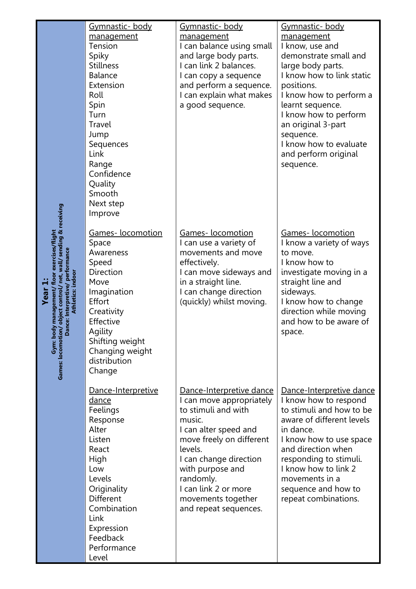| Gymnastic- body<br>management<br>Tension<br>Spiky<br><b>Stillness</b><br><b>Balance</b><br>Extension<br>Roll<br>Spin<br>Turn<br>Travel<br>Jump<br>Sequences<br>Link<br>Range<br>Confidence<br>Quality<br>Smooth<br>Next step<br>Improve | <u>Gymnastic- body</u><br>management<br>I can balance using small<br>and large body parts.<br>I can link 2 balances.<br>I can copy a sequence<br>and perform a sequence.<br>I can explain what makes<br>a good sequence.                                                                | <u> Gymnastic- body</u><br>management<br>I know, use and<br>demonstrate small and<br>large body parts.<br>I know how to link static<br>positions.<br>I know how to perform a<br>learnt sequence.<br>I know how to perform<br>an original 3-part<br>sequence.<br>I know how to evaluate<br>and perform original<br>sequence. |
|-----------------------------------------------------------------------------------------------------------------------------------------------------------------------------------------------------------------------------------------|-----------------------------------------------------------------------------------------------------------------------------------------------------------------------------------------------------------------------------------------------------------------------------------------|-----------------------------------------------------------------------------------------------------------------------------------------------------------------------------------------------------------------------------------------------------------------------------------------------------------------------------|
| Games-locomotion<br>Space<br>Awareness<br>Speed<br>Direction<br>Move<br>Imagination<br>Effort<br>Creativity<br>Effective<br>Agility<br>Shifting weight<br>Changing weight<br>distribution<br>Change                                     | Games-locomotion<br>I can use a variety of<br>movements and move<br>effectively.<br>I can move sideways and<br>in a straight line.<br>I can change direction<br>(quickly) whilst moving.                                                                                                | Games-locomotion<br>I know a variety of ways<br>to move.<br>I know how to<br>investigate moving in a<br>straight line and<br>sideways.<br>I know how to change<br>direction while moving<br>and how to be aware of<br>space.                                                                                                |
| Dance-Interpretive<br><u>dance</u><br>Feelings<br>Response<br>Alter<br>Listen<br>React<br>High<br>Low<br>Levels<br>Originality<br>Different<br>Combination<br>Link<br>Expression<br>Feedback<br>Performance<br>Level                    | Dance-Interpretive dance<br>I can move appropriately<br>to stimuli and with<br>music.<br>I can alter speed and<br>move freely on different<br>levels.<br>I can change direction<br>with purpose and<br>randomly.<br>I can link 2 or more<br>movements together<br>and repeat sequences. | Dance-Interpretive dance<br>I know how to respond<br>to stimuli and how to be<br>aware of different levels<br>in dance.<br>I know how to use space<br>and direction when<br>responding to stimuli.<br>I know how to link 2<br>movements in a<br>sequence and how to<br>repeat combinations.                                 |

**Year 1:**<br>Gym: body management/ floor exercises/flight<br>Games: locomotion/ object control/ net, wall/ sending & receiving<br>Dance: Interpretive/ performance<br>Athletics: indoor **Gym: body management/ floor exercises/flight Games: locomotion/ object control/ net, wall/ sending & receiving Dance: Interpretive/ performance Athletics: indoor**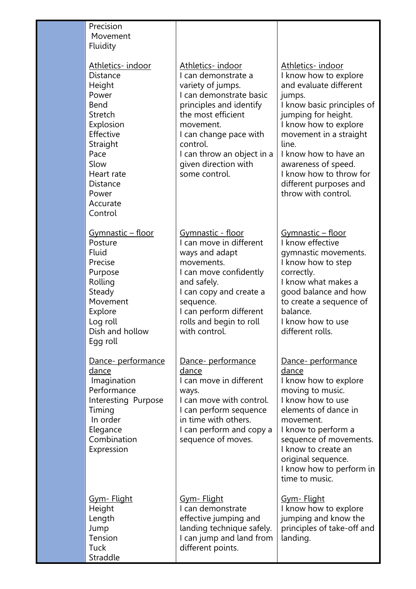| Precision<br>Movement<br>Fluidity                                                                                                                                                         |                                                                                                                                                                                                                                                                    |                                                                                                                                                                                                                                                                                                                            |
|-------------------------------------------------------------------------------------------------------------------------------------------------------------------------------------------|--------------------------------------------------------------------------------------------------------------------------------------------------------------------------------------------------------------------------------------------------------------------|----------------------------------------------------------------------------------------------------------------------------------------------------------------------------------------------------------------------------------------------------------------------------------------------------------------------------|
| Athletics-indoor<br>Distance<br>Height<br>Power<br>Bend<br>Stretch<br>Explosion<br>Effective<br>Straight<br>Pace<br>Slow<br>Heart rate<br><b>Distance</b><br>Power<br>Accurate<br>Control | Athletics-indoor<br>I can demonstrate a<br>variety of jumps.<br>I can demonstrate basic<br>principles and identify<br>the most efficient<br>movement.<br>I can change pace with<br>control.<br>I can throw an object in a<br>given direction with<br>some control. | Athletics-indoor<br>I know how to explore<br>and evaluate different<br>jumps.<br>I know basic principles of<br>jumping for height.<br>I know how to explore<br>movement in a straight<br>line.<br>I know how to have an<br>awareness of speed.<br>I know how to throw for<br>different purposes and<br>throw with control. |
| <u> Gymnastic – floor</u><br>Posture<br><b>Fluid</b><br>Precise<br>Purpose<br>Rolling<br>Steady<br>Movement<br>Explore<br>Log roll<br>Dish and hollow<br>Egg roll                         | Gymnastic - floor<br>I can move in different<br>ways and adapt<br>movements.<br>I can move confidently<br>and safely.<br>I can copy and create a<br>sequence.<br>I can perform different<br>rolls and begin to roll<br>with control.                               | <u> Gymnastic – floor</u><br>I know effective<br>gymnastic movements.<br>I know how to step<br>correctly.<br>I know what makes a<br>good balance and how<br>to create a sequence of<br>balance.<br>I know how to use<br>different rolls.                                                                                   |
| Dance- performance<br>dance<br>Imagination<br>Performance<br>Interesting Purpose<br>Timing<br>In order<br>Elegance<br>Combination<br>Expression                                           | Dance- performance<br>dance<br>I can move in different<br>ways.<br>I can move with control.<br>I can perform sequence<br>in time with others.<br>I can perform and copy a<br>sequence of moves.                                                                    | Dance- performance<br>dance<br>I know how to explore<br>moving to music.<br>I know how to use<br>elements of dance in<br>movement.<br>I know to perform a<br>sequence of movements.<br>I know to create an<br>original sequence.<br>I know how to perform in<br>time to music.                                             |
| <u>Gym- Flight</u><br>Height<br>Length<br>Jump<br>Tension<br>Tuck<br>Straddle                                                                                                             | <u>Gym- Flight</u><br>I can demonstrate<br>effective jumping and<br>landing technique safely.<br>I can jump and land from<br>different points.                                                                                                                     | <u>Gym- Flight</u><br>I know how to explore<br>jumping and know the<br>principles of take-off and<br>landing.                                                                                                                                                                                                              |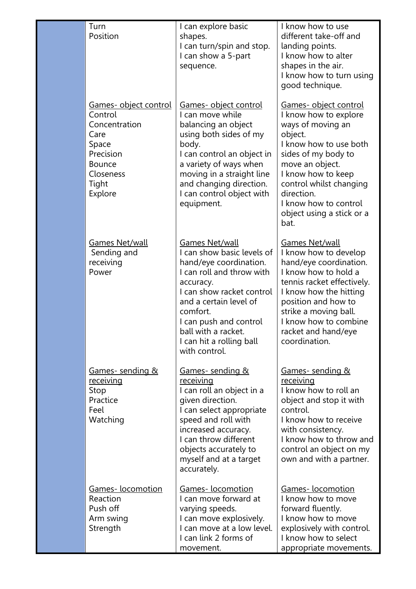| Turn<br>Position                                                                                                                  | I can explore basic<br>shapes.<br>I can turn/spin and stop.<br>I can show a 5-part<br>sequence.                                                                                                                                                                                   | I know how to use<br>different take-off and<br>landing points.<br>I know how to alter<br>shapes in the air.<br>I know how to turn using<br>good technique.                                                                                                                      |
|-----------------------------------------------------------------------------------------------------------------------------------|-----------------------------------------------------------------------------------------------------------------------------------------------------------------------------------------------------------------------------------------------------------------------------------|---------------------------------------------------------------------------------------------------------------------------------------------------------------------------------------------------------------------------------------------------------------------------------|
| Games- object control<br>Control<br>Concentration<br>Care<br>Space<br>Precision<br><b>Bounce</b><br>Closeness<br>Tight<br>Explore | Games- object control<br>I can move while<br>balancing an object<br>using both sides of my<br>body.<br>I can control an object in<br>a variety of ways when<br>moving in a straight line<br>and changing direction.<br>I can control object with<br>equipment.                    | Games- object control<br>I know how to explore<br>ways of moving an<br>object.<br>I know how to use both<br>sides of my body to<br>move an object.<br>I know how to keep<br>control whilst changing<br>direction.<br>I know how to control<br>object using a stick or a<br>bat. |
| Games Net/wall<br>Sending and<br>receiving<br>Power                                                                               | Games Net/wall<br>I can show basic levels of<br>hand/eye coordination.<br>I can roll and throw with<br>accuracy.<br>I can show racket control<br>and a certain level of<br>comfort.<br>I can push and control<br>ball with a racket.<br>I can hit a rolling ball<br>with control. | <b>Games Net/wall</b><br>I know how to develop<br>hand/eye coordination.<br>I know how to hold a<br>tennis racket effectively.<br>I know how the hitting<br>position and how to<br>strike a moving ball.<br>I know how to combine<br>racket and hand/eye<br>coordination.       |
| <u>Games- sending &amp;</u><br><u>receiving</u><br>Stop<br>Practice<br>Feel<br>Watching                                           | <u>Games- sending &amp;</u><br><u>receiving</u><br>I can roll an object in a<br>given direction.<br>I can select appropriate<br>speed and roll with<br>increased accuracy.<br>I can throw different<br>objects accurately to<br>myself and at a target<br>accurately.             | <u>Games- sending &amp;</u><br>receiving<br>I know how to roll an<br>object and stop it with<br>control.<br>I know how to receive<br>with consistency.<br>I know how to throw and<br>control an object on my<br>own and with a partner.                                         |
| Games-locomotion<br>Reaction<br>Push off<br>Arm swing<br>Strength                                                                 | Games-locomotion<br>I can move forward at<br>varying speeds.<br>I can move explosively.<br>I can move at a low level.<br>I can link 2 forms of<br>movement.                                                                                                                       | <b>Games-</b> locomotion<br>I know how to move<br>forward fluently.<br>I know how to move<br>explosively with control.<br>I know how to select<br>appropriate movements.                                                                                                        |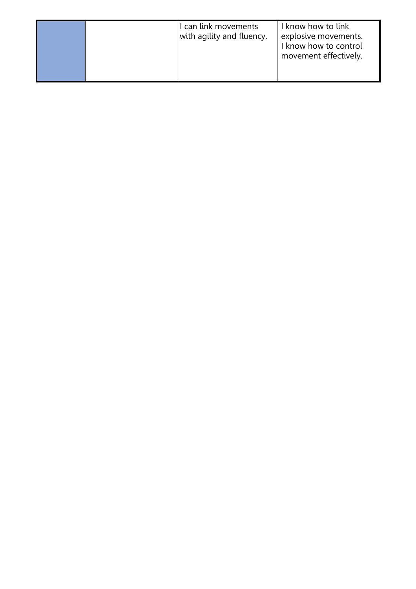I can link movements with agility and fluency. I know how to link explosive movements. I know how to control movement effectively.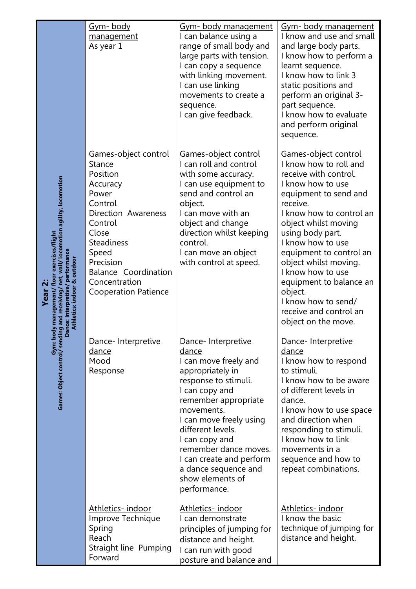|                             | <u>Gym-body</u><br>management<br>As year 1                                                                                                                                                                                                             | Gym- body management<br>I can balance using a<br>range of small body and<br>large parts with tension.<br>I can copy a sequence<br>with linking movement.<br>I can use linking<br>movements to create a<br>sequence.<br>I can give feedback.                                                                                                  | Gym- body management<br>I know and use and small<br>and large body parts.<br>I know how to perform a<br>learnt sequence.<br>I know how to link 3<br>static positions and<br>perform an original 3-<br>part sequence.<br>I know how to evaluate<br>and perform original<br>sequence.                                                                                                                                   |
|-----------------------------|--------------------------------------------------------------------------------------------------------------------------------------------------------------------------------------------------------------------------------------------------------|----------------------------------------------------------------------------------------------------------------------------------------------------------------------------------------------------------------------------------------------------------------------------------------------------------------------------------------------|-----------------------------------------------------------------------------------------------------------------------------------------------------------------------------------------------------------------------------------------------------------------------------------------------------------------------------------------------------------------------------------------------------------------------|
| Athletics: indoor & outdoor | Games-object control<br><b>Stance</b><br>Position<br>Accuracy<br>Power<br>Control<br>Direction Awareness<br>Control<br>Close<br><b>Steadiness</b><br>Speed<br>Precision<br><b>Balance Coordination</b><br>Concentration<br><b>Cooperation Patience</b> | <b>Games-object control</b><br>I can roll and control<br>with some accuracy.<br>I can use equipment to<br>send and control an<br>object.<br>I can move with an<br>object and change<br>direction whilst keeping<br>control.<br>I can move an object<br>with control at speed.                                                                | Games-object control<br>I know how to roll and<br>receive with control.<br>I know how to use<br>equipment to send and<br>receive.<br>I know how to control an<br>object whilst moving<br>using body part.<br>I know how to use<br>equipment to control an<br>object whilst moving.<br>I know how to use<br>equipment to balance an<br>object.<br>I know how to send/<br>receive and control an<br>object on the move. |
|                             | Dance-Interpretive<br><u>dance</u><br>Mood<br>Response                                                                                                                                                                                                 | Dance- Interpretive<br>dance<br>I can move freely and<br>appropriately in<br>response to stimuli.<br>I can copy and<br>remember appropriate<br>movements.<br>I can move freely using<br>different levels.<br>I can copy and<br>remember dance moves.<br>I can create and perform<br>a dance sequence and<br>show elements of<br>performance. | Dance- Interpretive<br>dance<br>I know how to respond<br>to stimuli.<br>I know how to be aware<br>of different levels in<br>dance.<br>I know how to use space<br>and direction when<br>responding to stimuli.<br>I know how to link<br>movements in a<br>sequence and how to<br>repeat combinations.                                                                                                                  |
|                             | Athletics-indoor<br>Improve Technique<br>Spring<br>Reach<br>Straight line Pumping<br>Forward                                                                                                                                                           | <u>Athletics- indoor</u><br>I can demonstrate<br>principles of jumping for<br>distance and height.<br>I can run with good<br>posture and balance and                                                                                                                                                                                         | Athletics-indoor<br>I know the basic<br>technique of jumping for<br>distance and height.                                                                                                                                                                                                                                                                                                                              |

**Year 2:**<br>Games: Object control/ sending and receiving/ net, wall/ locomotion agility, locomotion<br>Danier control/ sending and receiving/ net, wall/ locomotion agility, locomotion<br>Dathletics: indoor *e* performance **Gym: body management/ floor exercises/flight Games: Object control/ sending and receiving/ net, wall/ locomotion agility, locomotion Dance: Interpretive/ performance**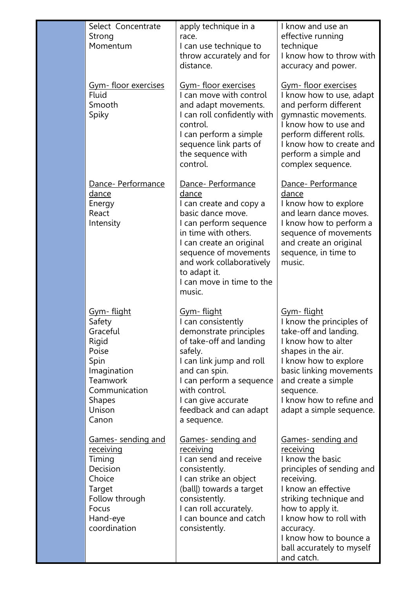| Select Concentrate<br>Strong<br>Momentum                                                                                                          | apply technique in a<br>race.<br>I can use technique to<br>throw accurately and for<br>distance.                                                                                                                                                                      | I know and use an<br>effective running<br>technique<br>I know how to throw with<br>accuracy and power.                                                                                                                                                                                         |
|---------------------------------------------------------------------------------------------------------------------------------------------------|-----------------------------------------------------------------------------------------------------------------------------------------------------------------------------------------------------------------------------------------------------------------------|------------------------------------------------------------------------------------------------------------------------------------------------------------------------------------------------------------------------------------------------------------------------------------------------|
| <u>Gym-floor exercises</u><br><b>Fluid</b><br>Smooth<br>Spiky                                                                                     | <u> Gym- floor exercises</u><br>I can move with control<br>and adapt movements.<br>I can roll confidently with<br>control.<br>I can perform a simple<br>sequence link parts of<br>the sequence with<br>control.                                                       | <u>Gym-floor exercises</u><br>I know how to use, adapt<br>and perform different<br>gymnastic movements.<br>I know how to use and<br>perform different rolls.<br>I know how to create and<br>perform a simple and<br>complex sequence.                                                          |
| Dance- Performance<br><u>dance</u><br>Energy<br>React<br>Intensity                                                                                | Dance- Performance<br>dance<br>I can create and copy a<br>basic dance move.<br>I can perform sequence<br>in time with others.<br>I can create an original<br>sequence of movements<br>and work collaboratively<br>to adapt it.<br>I can move in time to the<br>music. | Dance- Performance<br>dance<br>I know how to explore<br>and learn dance moves.<br>I know how to perform a<br>sequence of movements<br>and create an original<br>sequence, in time to<br>music.                                                                                                 |
| <u>Gym-flight</u><br>Safety<br>Graceful<br>Rigid<br>Poise<br>Spin<br>Imagination<br>Teamwork<br>Communication<br><b>Shapes</b><br>Unison<br>Canon | <u>Gym-flight</u><br>I can consistently<br>demonstrate principles<br>of take-off and landing<br>safely.<br>I can link jump and roll<br>and can spin.<br>I can perform a sequence<br>with control.<br>I can give accurate<br>feedback and can adapt<br>a sequence.     | <u>Gym-flight</u><br>I know the principles of<br>take-off and landing.<br>I know how to alter<br>shapes in the air.<br>I know how to explore<br>basic linking movements<br>and create a simple<br>sequence.<br>I know how to refine and<br>adapt a simple sequence.                            |
| Games- sending and<br>receiving<br>Timing<br>Decision<br>Choice<br>Target<br>Follow through<br>Focus<br>Hand-eye<br>coordination                  | Games-sending and<br><u>receiving</u><br>I can send and receive<br>consistently.<br>I can strike an object<br>(ball) towards a target<br>consistently.<br>I can roll accurately.<br>I can bounce and catch<br>consistently.                                           | <u>Games- sending and</u><br><u>receiving</u><br>I know the basic<br>principles of sending and<br>receiving.<br>I know an effective<br>striking technique and<br>how to apply it.<br>I know how to roll with<br>accuracy.<br>I know how to bounce a<br>ball accurately to myself<br>and catch. |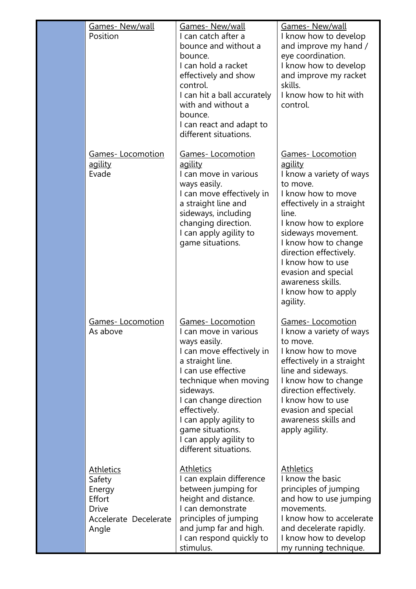| Games-New/wall<br>Position                                                                | <b>Games- New/wall</b><br>I can catch after a<br>bounce and without a<br>bounce.<br>I can hold a racket<br>effectively and show<br>control.<br>I can hit a ball accurately<br>with and without a<br>bounce.<br>I can react and adapt to<br>different situations.                                                   | Games-New/wall<br>I know how to develop<br>and improve my hand /<br>eye coordination.<br>I know how to develop<br>and improve my racket<br>skills.<br>I know how to hit with<br>control.                                                                                                                                                           |
|-------------------------------------------------------------------------------------------|--------------------------------------------------------------------------------------------------------------------------------------------------------------------------------------------------------------------------------------------------------------------------------------------------------------------|----------------------------------------------------------------------------------------------------------------------------------------------------------------------------------------------------------------------------------------------------------------------------------------------------------------------------------------------------|
| <u>Games-Locomotion</u><br><u>agility</u><br>Evade                                        | <b>Games-Locomotion</b><br><u>agility</u><br>I can move in various<br>ways easily.<br>I can move effectively in<br>a straight line and<br>sideways, including<br>changing direction.<br>I can apply agility to<br>game situations.                                                                                 | <b>Games-Locomotion</b><br><u>agility</u><br>I know a variety of ways<br>to move.<br>I know how to move<br>effectively in a straight<br>line.<br>I know how to explore<br>sideways movement.<br>I know how to change<br>direction effectively.<br>I know how to use<br>evasion and special<br>awareness skills.<br>I know how to apply<br>agility. |
| <b>Games-Locomotion</b><br>As above                                                       | Games-Locomotion<br>I can move in various<br>ways easily.<br>I can move effectively in<br>a straight line.<br>I can use effective<br>technique when moving<br>sideways.<br>I can change direction<br>effectively.<br>I can apply agility to<br>game situations.<br>I can apply agility to<br>different situations. | <b>Games-Locomotion</b><br>I know a variety of ways<br>to move.<br>I know how to move<br>effectively in a straight<br>line and sideways.<br>I know how to change<br>direction effectively.<br>I know how to use<br>evasion and special<br>awareness skills and<br>apply agility.                                                                   |
| <u>Athletics</u><br>Safety<br>Energy<br>Effort<br>Drive<br>Accelerate Decelerate<br>Angle | <u>Athletics</u><br>I can explain difference<br>between jumping for<br>height and distance.<br>I can demonstrate<br>principles of jumping<br>and jump far and high.<br>I can respond quickly to<br>stimulus.                                                                                                       | <b>Athletics</b><br>I know the basic<br>principles of jumping<br>and how to use jumping<br>movements.<br>I know how to accelerate<br>and decelerate rapidly.<br>I know how to develop<br>my running technique.                                                                                                                                     |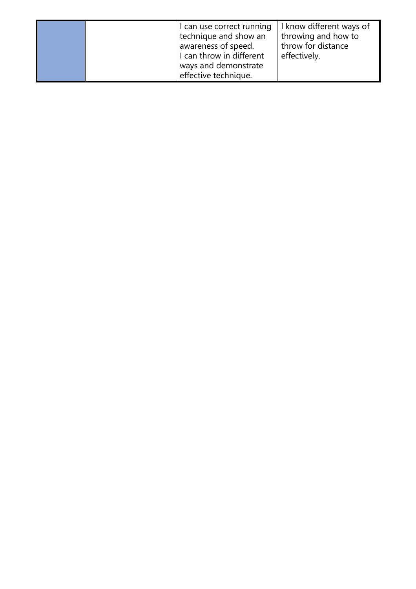I can use correct running | I know different ways of technique and show an awareness of speed. I can throw in different ways and demonstrate effective technique. I throwing and how to throw for distance effectively.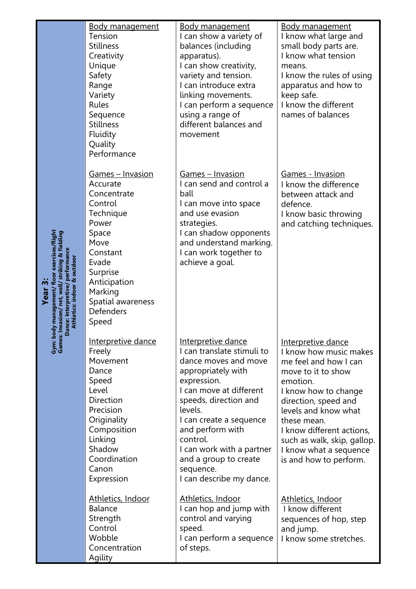| <b>Body management</b><br>Tension<br><b>Stillness</b><br>Creativity<br>Unique<br>Safety<br>Range<br>Variety<br>Rules<br>Sequence<br><b>Stillness</b><br>Fluidity<br>Quality<br>Performance                  | <b>Body management</b><br>I can show a variety of<br>balances (including<br>apparatus).<br>I can show creativity,<br>variety and tension.<br>I can introduce extra<br>linking movements.<br>I can perform a sequence<br>using a range of<br>different balances and<br>movement                                                         | <b>Body management</b><br>I know what large and<br>small body parts are.<br>I know what tension<br>means.<br>I know the rules of using<br>apparatus and how to<br>keep safe.<br>I know the different<br>names of balances                                                                                             |
|-------------------------------------------------------------------------------------------------------------------------------------------------------------------------------------------------------------|----------------------------------------------------------------------------------------------------------------------------------------------------------------------------------------------------------------------------------------------------------------------------------------------------------------------------------------|-----------------------------------------------------------------------------------------------------------------------------------------------------------------------------------------------------------------------------------------------------------------------------------------------------------------------|
| Games - Invasion<br>Accurate<br>Concentrate<br>Control<br>Technique<br>Power<br>Space<br>Move<br>Constant<br>Evade<br>Surprise<br>Anticipation<br>Marking<br>Spatial awareness<br><b>Defenders</b><br>Speed | <u> Games – Invasion</u><br>I can send and control a<br>ball<br>I can move into space<br>and use evasion<br>strategies.<br>I can shadow opponents<br>and understand marking.<br>I can work together to<br>achieve a goal.                                                                                                              | <b>Games - Invasion</b><br>I know the difference<br>between attack and<br>defence.<br>I know basic throwing<br>and catching techniques.                                                                                                                                                                               |
| <b>Interpretive dance</b><br>Freely<br>Movement<br>Dance<br>Speed<br>Level<br>Direction<br>Precision<br>Originality<br>Composition<br>Linking<br>Shadow<br>Coordination<br>Canon<br>Expression              | Interpretive dance<br>I can translate stimuli to<br>dance moves and move<br>appropriately with<br>expression.<br>I can move at different<br>speeds, direction and<br>levels.<br>I can create a sequence<br>and perform with<br>control.<br>I can work with a partner<br>and a group to create<br>sequence.<br>I can describe my dance. | <u>Interpretive dance</u><br>I know how music makes<br>me feel and how I can<br>move to it to show<br>emotion.<br>I know how to change<br>direction, speed and<br>levels and know what<br>these mean.<br>I know different actions,<br>such as walk, skip, gallop.<br>I know what a sequence<br>is and how to perform. |
| Athletics, Indoor<br><b>Balance</b><br>Strength<br>Control<br>Wobble<br>Concentration<br>Agility                                                                                                            | Athletics, Indoor<br>I can hop and jump with<br>control and varying<br>speed.<br>I can perform a sequence<br>of steps.                                                                                                                                                                                                                 | Athletics, Indoor<br>I know different<br>sequences of hop, step<br>and jump.<br>I know some stretches.                                                                                                                                                                                                                |

**Year 3:**<br>Gym: body management/ floor exercises/flight<br>Games: Invasion/ net, wall/ striking & fielding<br>Dance: Interpretive/ performance<br>Athletics: indoor & outdoor **Gym: body management/ floor exercises/flight Games: Invasion/ net, wall/ striking & fielding Dance: Interpretive/ performance Athletics: indoor & outdoor**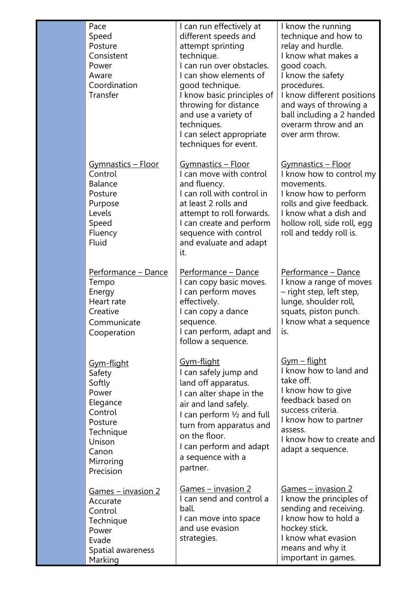| Pace<br>Speed<br>Posture<br>Consistent<br>Power<br>Aware<br>Coordination<br>Transfer                                                       | I can run effectively at<br>different speeds and<br>attempt sprinting<br>technique.<br>I can run over obstacles.<br>I can show elements of<br>good technique.<br>I know basic principles of<br>throwing for distance<br>and use a variety of<br>techniques.<br>I can select appropriate<br>techniques for event. | I know the running<br>technique and how to<br>relay and hurdle.<br>I know what makes a<br>good coach.<br>I know the safety<br>procedures.<br>I know different positions<br>and ways of throwing a<br>ball including a 2 handed<br>overarm throw and an<br>over arm throw. |
|--------------------------------------------------------------------------------------------------------------------------------------------|------------------------------------------------------------------------------------------------------------------------------------------------------------------------------------------------------------------------------------------------------------------------------------------------------------------|---------------------------------------------------------------------------------------------------------------------------------------------------------------------------------------------------------------------------------------------------------------------------|
| Gymnastics - Floor<br>Control<br><b>Balance</b><br>Posture<br>Purpose<br>Levels<br>Speed<br>Fluency<br><b>Fluid</b>                        | Gymnastics - Floor<br>I can move with control<br>and fluency.<br>I can roll with control in<br>at least 2 rolls and<br>attempt to roll forwards.<br>I can create and perform<br>sequence with control<br>and evaluate and adapt<br>it.                                                                           | <u> Gymnastics – Floor</u><br>I know how to control my<br>movements.<br>I know how to perform<br>rolls and give feedback.<br>I know what a dish and<br>hollow roll, side roll, egg<br>roll and teddy roll is.                                                             |
| Performance - Dance<br>Tempo<br>Energy<br>Heart rate<br>Creative<br>Communicate<br>Cooperation                                             | <u> Performance – Dance</u><br>I can copy basic moves.<br>I can perform moves<br>effectively.<br>I can copy a dance<br>sequence.<br>I can perform, adapt and<br>follow a sequence.                                                                                                                               | Performance - Dance<br>I know a range of moves<br>- right step, left step,<br>lunge, shoulder roll,<br>squats, piston punch.<br>I know what a sequence<br>is.                                                                                                             |
| <u>Gym-flight</u><br>Safety<br>Softly<br>Power<br>Elegance<br>Control<br>Posture<br>Technique<br>Unison<br>Canon<br>Mirroring<br>Precision | <u>Gym-flight</u><br>I can safely jump and<br>land off apparatus.<br>I can alter shape in the<br>air and land safely.<br>I can perform $\frac{1}{2}$ and full<br>turn from apparatus and<br>on the floor.<br>I can perform and adapt<br>a sequence with a<br>partner.                                            | <u>Gym – flight</u><br>I know how to land and<br>take off.<br>I know how to give<br>feedback based on<br>success criteria.<br>I know how to partner<br>assess.<br>I know how to create and<br>adapt a sequence.                                                           |
| <u> Games – invasion 2</u><br>Accurate<br>Control<br>Technique<br>Power<br>Evade<br>Spatial awareness<br>Marking                           | <u>Games – invasion 2</u><br>I can send and control a<br>ball.<br>I can move into space<br>and use evasion<br>strategies.                                                                                                                                                                                        | <u> Games – invasion 2</u><br>I know the principles of<br>sending and receiving.<br>I know how to hold a<br>hockey stick.<br>I know what evasion<br>means and why it<br>important in games.                                                                               |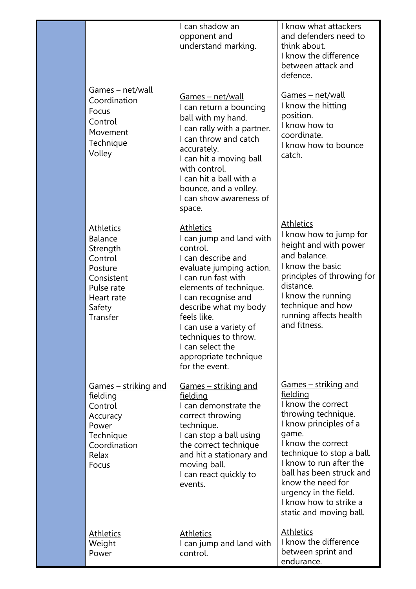|                                                                                                                                             | I can shadow an<br>opponent and<br>understand marking.                                                                                                                                                                                                                                                                                      | I know what attackers<br>and defenders need to<br>think about.<br>I know the difference<br>between attack and<br>defence.                                                                                                                                                                                                                   |
|---------------------------------------------------------------------------------------------------------------------------------------------|---------------------------------------------------------------------------------------------------------------------------------------------------------------------------------------------------------------------------------------------------------------------------------------------------------------------------------------------|---------------------------------------------------------------------------------------------------------------------------------------------------------------------------------------------------------------------------------------------------------------------------------------------------------------------------------------------|
| <u>Games – net/wall</u><br>Coordination<br>Focus<br>Control<br>Movement<br>Technique<br>Volley                                              | Games - net/wall<br>I can return a bouncing<br>ball with my hand.<br>I can rally with a partner.<br>I can throw and catch<br>accurately.<br>I can hit a moving ball<br>with control.<br>I can hit a ball with a<br>bounce, and a volley.<br>I can show awareness of<br>space.                                                               | Games – net/wall<br>I know the hitting<br>position.<br>I know how to<br>coordinate.<br>I know how to bounce<br>catch.                                                                                                                                                                                                                       |
| <b>Athletics</b><br><b>Balance</b><br>Strength<br>Control<br>Posture<br>Consistent<br>Pulse rate<br>Heart rate<br>Safety<br><b>Transfer</b> | <b>Athletics</b><br>I can jump and land with<br>control.<br>I can describe and<br>evaluate jumping action.<br>I can run fast with<br>elements of technique.<br>I can recognise and<br>describe what my body<br>feels like.<br>I can use a variety of<br>techniques to throw.<br>I can select the<br>appropriate technique<br>for the event. | <b>Athletics</b><br>I know how to jump for<br>height and with power<br>and balance.<br>I know the basic<br>principles of throwing for<br>distance.<br>I know the running<br>technique and how<br>running affects health<br>and fitness.                                                                                                     |
| Games - striking and<br><u>fielding</u><br>Control<br>Accuracy<br>Power<br>Technique<br>Coordination<br>Relax<br>Focus                      | <u>Games – striking and</u><br>fielding<br>I can demonstrate the<br>correct throwing<br>technique.<br>I can stop a ball using<br>the correct technique<br>and hit a stationary and<br>moving ball.<br>I can react quickly to<br>events.                                                                                                     | <u>Games – striking and</u><br><u>fielding</u><br>I know the correct<br>throwing technique.<br>I know principles of a<br>game.<br>I know the correct<br>technique to stop a ball.<br>I know to run after the<br>ball has been struck and<br>know the need for<br>urgency in the field.<br>I know how to strike a<br>static and moving ball. |
| <b>Athletics</b><br>Weight<br>Power                                                                                                         | <b>Athletics</b><br>I can jump and land with<br>control.                                                                                                                                                                                                                                                                                    | <b>Athletics</b><br>I know the difference<br>between sprint and<br>endurance.                                                                                                                                                                                                                                                               |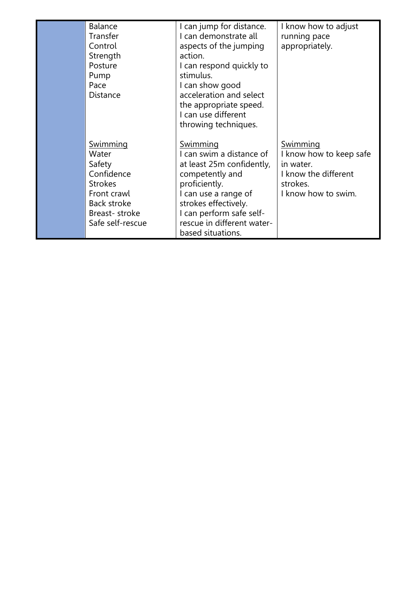| <b>Balance</b>   | I can jump for distance.   | I know how to adjust    |
|------------------|----------------------------|-------------------------|
| Transfer         | I can demonstrate all      | running pace            |
| Control          | aspects of the jumping     | appropriately.          |
| Strength         | action.                    |                         |
| Posture          | I can respond quickly to   |                         |
| Pump             | stimulus.                  |                         |
| Pace             | I can show good            |                         |
| Distance         | acceleration and select    |                         |
|                  | the appropriate speed.     |                         |
|                  | I can use different        |                         |
|                  | throwing techniques.       |                         |
|                  |                            |                         |
| <u>Swimming</u>  | <u>Swimming</u>            | <u>Swimming</u>         |
| Water            | I can swim a distance of   | I know how to keep safe |
| Safety           | at least 25m confidently,  | in water.               |
| Confidence       | competently and            | I know the different    |
| <b>Strokes</b>   | proficiently.              | strokes.                |
| Front crawl      | I can use a range of       | I know how to swim.     |
| Back stroke      | strokes effectively.       |                         |
| Breast-stroke    | I can perform safe self-   |                         |
| Safe self-rescue | rescue in different water- |                         |
|                  | based situations.          |                         |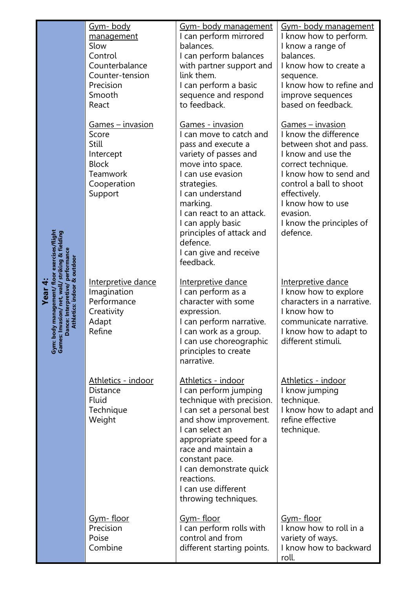| Gym-body<br>management<br>Slow<br>Control<br>Counterbalance<br>Counter-tension<br>Precision<br>Smooth<br>React | Gym- body management<br>I can perform mirrored<br>balances.<br>I can perform balances<br>with partner support and<br>link them.<br>I can perform a basic<br>sequence and respond<br>to feedback.                                                                                                                            | Gym- body management<br>I know how to perform.<br>I know a range of<br>balances.<br>I know how to create a<br>sequence.<br>I know how to refine and<br>improve sequences<br>based on feedback.                                                                        |
|----------------------------------------------------------------------------------------------------------------|-----------------------------------------------------------------------------------------------------------------------------------------------------------------------------------------------------------------------------------------------------------------------------------------------------------------------------|-----------------------------------------------------------------------------------------------------------------------------------------------------------------------------------------------------------------------------------------------------------------------|
| <u> Games – invasion</u><br>Score<br>Still<br>Intercept<br><b>Block</b><br>Teamwork<br>Cooperation<br>Support  | <u> Games - invasion</u><br>I can move to catch and<br>pass and execute a<br>variety of passes and<br>move into space.<br>I can use evasion<br>strategies.<br>I can understand<br>marking.<br>I can react to an attack.<br>I can apply basic<br>principles of attack and<br>defence.<br>I can give and receive<br>feedback. | <u> Games – invasion</u><br>I know the difference<br>between shot and pass.<br>I know and use the<br>correct technique.<br>I know how to send and<br>control a ball to shoot<br>effectively.<br>I know how to use<br>evasion.<br>I know the principles of<br>defence. |
| Interpretive dance<br>Imagination<br>Performance<br>Creativity<br>Adapt<br>Refine                              | Interpretive dance<br>I can perform as a<br>character with some<br>expression.<br>I can perform narrative.<br>I can work as a group.<br>I can use choreographic<br>principles to create<br>narrative.                                                                                                                       | Interpretive dance<br>I know how to explore<br>characters in a narrative.<br>I know how to<br>communicate narrative.<br>I know how to adapt to<br>different stimuli.                                                                                                  |
| Athletics - indoor<br>Distance<br><b>Fluid</b><br>Technique<br>Weight                                          | Athletics - indoor<br>I can perform jumping<br>technique with precision.<br>I can set a personal best<br>and show improvement.<br>I can select an<br>appropriate speed for a<br>race and maintain a<br>constant pace.<br>I can demonstrate quick<br>reactions.<br>I can use different<br>throwing techniques.               | Athletics - indoor<br>I know jumping<br>technique.<br>I know how to adapt and<br>refine effective<br>technique.                                                                                                                                                       |
| <u>Gym-floor</u><br>Precision<br>Poise<br>Combine                                                              | <u>Gym-floor</u><br>I can perform rolls with<br>control and from<br>different starting points.                                                                                                                                                                                                                              | <u>Gym-floor</u><br>I know how to roll in a<br>variety of ways.<br>I know how to backward<br>roll.                                                                                                                                                                    |

**Year 4:**<br>Gym: body management/ floor exercises/flight<br>Games: Invasion/ net, wall/ striking & fielding<br>Dance: Interpretive/ performance<br>Athletics: indoor & outdoor **Gym: body management/ floor exercises/flight Games: Invasion/ net, wall/ striking & fielding Dance: Interpretive/ performance Athletics: indoor & outdoor**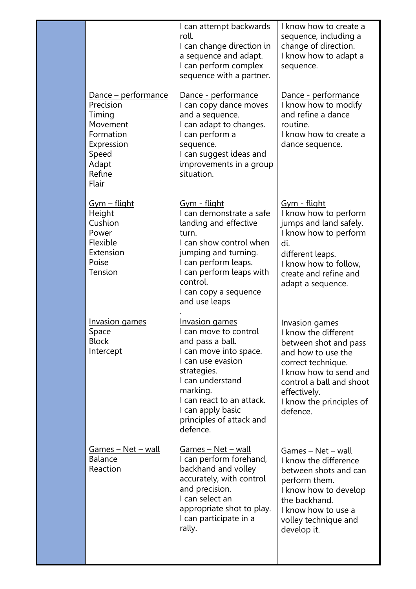|                                                                                                                                | I can attempt backwards<br>roll.<br>I can change direction in<br>a sequence and adapt.<br>I can perform complex<br>sequence with a partner.                                                                                                                | I know how to create a<br>sequence, including a<br>change of direction.<br>I know how to adapt a<br>sequence.                                                                                                             |
|--------------------------------------------------------------------------------------------------------------------------------|------------------------------------------------------------------------------------------------------------------------------------------------------------------------------------------------------------------------------------------------------------|---------------------------------------------------------------------------------------------------------------------------------------------------------------------------------------------------------------------------|
| <u> Dance – performance</u><br>Precision<br>Timing<br>Movement<br>Formation<br>Expression<br>Speed<br>Adapt<br>Refine<br>Flair | <u>Dance - performance</u><br>I can copy dance moves<br>and a sequence.<br>I can adapt to changes.<br>I can perform a<br>sequence.<br>I can suggest ideas and<br>improvements in a group<br>situation.                                                     | Dance - performance<br>I know how to modify<br>and refine a dance<br>routine.<br>I know how to create a<br>dance sequence.                                                                                                |
| <u>Gym – flight</u><br>Height<br>Cushion<br>Power<br>Flexible<br>Extension<br>Poise<br>Tension                                 | <u>Gym - flight</u><br>I can demonstrate a safe<br>landing and effective<br>turn.<br>I can show control when<br>jumping and turning.<br>I can perform leaps.<br>I can perform leaps with<br>control.<br>I can copy a sequence<br>and use leaps             | <u>Gym - flight</u><br>I know how to perform<br>jumps and land safely.<br>I know how to perform<br>di.<br>different leaps.<br>I know how to follow,<br>create and refine and<br>adapt a sequence.                         |
| <b>Invasion games</b><br>Space<br><b>Block</b><br>Intercept                                                                    | <b>Invasion games</b><br>I can move to control<br>and pass a ball.<br>I can move into space.<br>I can use evasion<br>strategies.<br>I can understand<br>marking.<br>I can react to an attack.<br>I can apply basic<br>principles of attack and<br>defence. | Invasion games<br>I know the different<br>between shot and pass<br>and how to use the<br>correct technique.<br>I know how to send and<br>control a ball and shoot<br>effectively.<br>I know the principles of<br>defence. |
| Games - Net - wall<br><b>Balance</b><br>Reaction                                                                               | <u>Games – Net – wall</u><br>I can perform forehand,<br>backhand and volley<br>accurately, with control<br>and precision.<br>I can select an<br>appropriate shot to play.<br>I can participate in a<br>rally.                                              | <u>Games - Net - wall</u><br>I know the difference<br>between shots and can<br>perform them.<br>I know how to develop<br>the backhand.<br>I know how to use a<br>volley technique and<br>develop it.                      |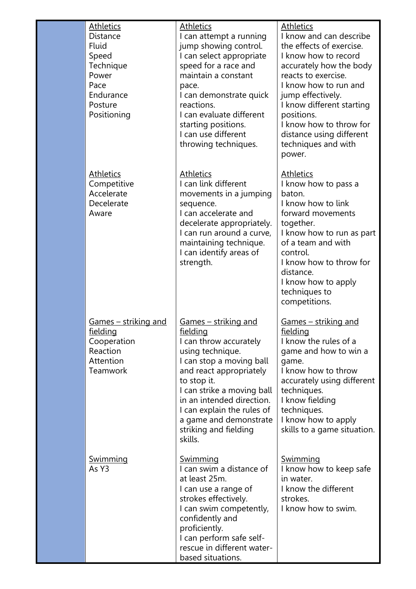| <b>Athletics</b><br><b>Distance</b><br><b>Fluid</b><br>Speed<br>Technique<br>Power<br>Pace<br>Endurance<br>Posture<br>Positioning | <u>Athletics</u><br>I can attempt a running<br>jump showing control.<br>I can select appropriate<br>speed for a race and<br>maintain a constant<br>pace.<br>I can demonstrate quick<br>reactions.<br>I can evaluate different<br>starting positions.<br>I can use different<br>throwing techniques.                | <u>Athletics</u><br>I know and can describe<br>the effects of exercise.<br>I know how to record<br>accurately how the body<br>reacts to exercise.<br>I know how to run and<br>jump effectively.<br>I know different starting<br>positions.<br>I know how to throw for<br>distance using different<br>techniques and with<br>power. |
|-----------------------------------------------------------------------------------------------------------------------------------|--------------------------------------------------------------------------------------------------------------------------------------------------------------------------------------------------------------------------------------------------------------------------------------------------------------------|------------------------------------------------------------------------------------------------------------------------------------------------------------------------------------------------------------------------------------------------------------------------------------------------------------------------------------|
| <b>Athletics</b><br>Competitive<br>Accelerate<br>Decelerate<br>Aware                                                              | <b>Athletics</b><br>I can link different<br>movements in a jumping<br>sequence.<br>I can accelerate and<br>decelerate appropriately.<br>I can run around a curve,<br>maintaining technique.<br>I can identify areas of<br>strength.                                                                                | <b>Athletics</b><br>I know how to pass a<br>baton.<br>I know how to link<br>forward movements<br>together.<br>I know how to run as part<br>of a team and with<br>control.<br>I know how to throw for<br>distance.<br>I know how to apply<br>techniques to<br>competitions.                                                         |
| Games - striking and<br><u>fielding</u><br>Cooperation<br>Reaction<br>Attention<br>Teamwork                                       | <u>Games – striking and</u><br>fielding<br>I can throw accurately<br>using technique.<br>I can stop a moving ball<br>and react appropriately<br>to stop it.<br>I can strike a moving ball<br>in an intended direction.<br>I can explain the rules of<br>a game and demonstrate<br>striking and fielding<br>skills. | <u>Games – striking and</u><br>fielding<br>I know the rules of a<br>game and how to win a<br>game.<br>I know how to throw<br>accurately using different<br>techniques.<br>I know fielding<br>techniques.<br>I know how to apply<br>skills to a game situation.                                                                     |
| <u>Swimming</u><br>As Y3                                                                                                          | <u>Swimming</u><br>I can swim a distance of<br>at least 25m.<br>I can use a range of<br>strokes effectively.<br>I can swim competently,<br>confidently and<br>proficiently.<br>I can perform safe self-<br>rescue in different water-<br>based situations.                                                         | <u>Swimming</u><br>I know how to keep safe<br>in water.<br>I know the different<br>strokes.<br>I know how to swim.                                                                                                                                                                                                                 |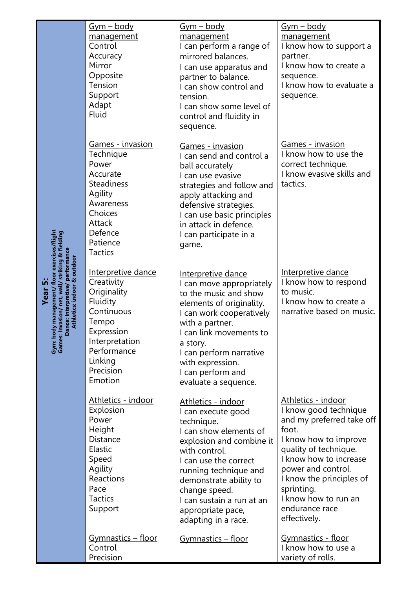|                             | <u>Gym – body</u><br>management<br>Control<br>Accuracy<br>Mirror<br>Opposite<br>Tension<br>Support<br>Adapt<br><b>Fluid</b>                                          | <u>Gym – body</u><br>management<br>I can perform a range of<br>mirrored balances.<br>I can use apparatus and<br>partner to balance.<br>I can show control and<br>tension.<br>I can show some level of<br>control and fluidity in<br>sequence.                                                       | <u>Gym – body</u><br>management<br>I know how to support a<br>partner.<br>I know how to create a<br>sequence.<br>I know how to evaluate a<br>sequence.                                                                                                                                  |
|-----------------------------|----------------------------------------------------------------------------------------------------------------------------------------------------------------------|-----------------------------------------------------------------------------------------------------------------------------------------------------------------------------------------------------------------------------------------------------------------------------------------------------|-----------------------------------------------------------------------------------------------------------------------------------------------------------------------------------------------------------------------------------------------------------------------------------------|
|                             | Games - invasion<br>Technique<br>Power<br>Accurate<br><b>Steadiness</b><br>Agility<br>Awareness<br>Choices<br>Attack<br>Defence<br>Patience<br><b>Tactics</b>        | <u> Games - invasion</u><br>I can send and control a<br>ball accurately<br>I can use evasive<br>strategies and follow and<br>apply attacking and<br>defensive strategies.<br>I can use basic principles<br>in attack in defence.<br>I can participate in a<br>game.                                 | <b>Games - invasion</b><br>I know how to use the<br>correct technique.<br>I know evasive skills and<br>tactics.                                                                                                                                                                         |
| Athletics: indoor & outdoor | Interpretive dance<br>Creativity<br>Originality<br>Fluidity<br>Continuous<br>Tempo<br>Expression<br>Interpretation<br>Performance<br>Linking<br>Precision<br>Emotion | Interpretive dance<br>I can move appropriately<br>to the music and show<br>elements of originality.<br>I can work cooperatively<br>with a partner.<br>I can link movements to<br>a story.<br>I can perform narrative<br>with expression.<br>I can perform and<br>evaluate a sequence.               | Interpretive dance<br>I know how to respond<br>to music.<br>I know how to create a<br>narrative based on music.                                                                                                                                                                         |
|                             | Athletics - indoor<br>Explosion<br>Power<br>Height<br>Distance<br>Elastic<br>Speed<br>Agility<br>Reactions<br>Pace<br><b>Tactics</b><br>Support                      | Athletics - indoor<br>I can execute good<br>technique.<br>I can show elements of<br>explosion and combine it<br>with control.<br>I can use the correct<br>running technique and<br>demonstrate ability to<br>change speed.<br>I can sustain a run at an<br>appropriate pace,<br>adapting in a race. | Athletics - indoor<br>I know good technique<br>and my preferred take off<br>foot.<br>I know how to improve<br>quality of technique.<br>I know how to increase<br>power and control.<br>I know the principles of<br>sprinting.<br>I know how to run an<br>endurance race<br>effectively. |
|                             | Gymnastics - floor<br>Control<br>Precision                                                                                                                           | <u> Gymnastics – floor</u>                                                                                                                                                                                                                                                                          | Gymnastics - floor<br>I know how to use a<br>variety of rolls.                                                                                                                                                                                                                          |

**Year 5:**<br>Gym: body management/ floor exercises/flight<br>Games: Invasion/ net, wall/ striking & fielding<br>Dance: Interpretive/ performance **Gym: body management/ floor exercises/flight Games: Invasion/ net, wall/ striking & fielding Dance: Interpretive/ performance**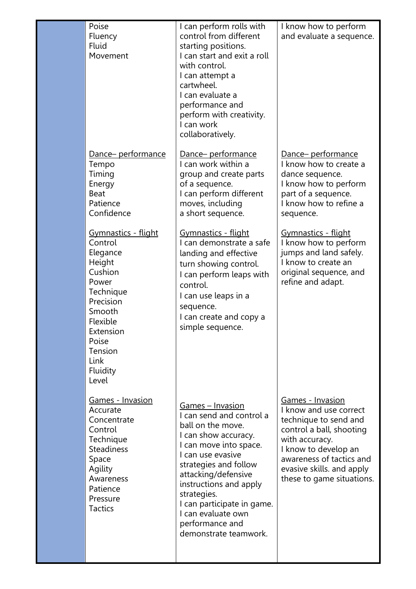| Poise<br>Fluency<br><b>Fluid</b><br>Movement                                                                                                                                                   | I can perform rolls with<br>control from different<br>starting positions.<br>I can start and exit a roll<br>with control.<br>I can attempt a<br>cartwheel.<br>I can evaluate a<br>performance and<br>perform with creativity.<br>I can work<br>collaboratively.                                                                          | I know how to perform<br>and evaluate a sequence.                                                                                                                                                                                      |
|------------------------------------------------------------------------------------------------------------------------------------------------------------------------------------------------|------------------------------------------------------------------------------------------------------------------------------------------------------------------------------------------------------------------------------------------------------------------------------------------------------------------------------------------|----------------------------------------------------------------------------------------------------------------------------------------------------------------------------------------------------------------------------------------|
| <u>Dance-performance</u><br>Tempo<br>Timing<br>Energy<br><b>Beat</b><br>Patience<br>Confidence                                                                                                 | <u>Dance-performance</u><br>I can work within a<br>group and create parts<br>of a sequence.<br>I can perform different<br>moves, including<br>a short sequence.                                                                                                                                                                          | <u>Dance- performance</u><br>I know how to create a<br>dance sequence.<br>I know how to perform<br>part of a sequence.<br>I know how to refine a<br>sequence.                                                                          |
| <u> Gymnastics - flight</u><br>Control<br>Elegance<br>Height<br>Cushion<br>Power<br>Technique<br>Precision<br>Smooth<br>Flexible<br>Extension<br>Poise<br>Tension<br>Link<br>Fluidity<br>Level | Gymnastics - flight<br>I can demonstrate a safe<br>landing and effective<br>turn showing control.<br>I can perform leaps with<br>control.<br>I can use leaps in a<br>sequence.<br>I can create and copy a<br>simple sequence.                                                                                                            | <u> Gymnastics - flight</u><br>I know how to perform<br>jumps and land safely.<br>I know to create an<br>original sequence, and<br>refine and adapt.                                                                                   |
| <u> Games - Invasion</u><br>Accurate<br>Concentrate<br>Control<br>Technique<br><b>Steadiness</b><br>Space<br>Agility<br>Awareness<br>Patience<br>Pressure<br><b>Tactics</b>                    | <u> Games – Invasion</u><br>I can send and control a<br>ball on the move.<br>I can show accuracy.<br>I can move into space.<br>Lcan use evasive<br>strategies and follow<br>attacking/defensive<br>instructions and apply<br>strategies.<br>I can participate in game.<br>I can evaluate own<br>performance and<br>demonstrate teamwork. | <b>Games - Invasion</b><br>I know and use correct<br>technique to send and<br>control a ball, shooting<br>with accuracy.<br>I know to develop an<br>awareness of tactics and<br>evasive skills. and apply<br>these to game situations. |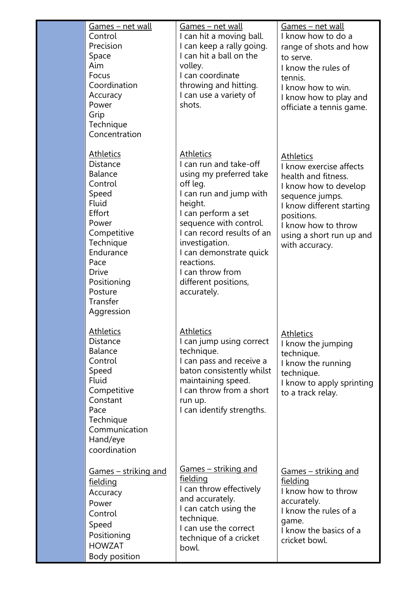| <u>Games – net wall</u><br>Control<br>Precision<br>Space<br>Aim<br>Focus<br>Coordination<br>Accuracy<br>Power<br>Grip<br>Technique<br>Concentration                                                                               | <u> Games – net wall</u><br>I can hit a moving ball.<br>I can keep a rally going.<br>I can hit a ball on the<br>volley.<br>I can coordinate<br>throwing and hitting.<br>I can use a variety of<br>shots.                                                                                                                     | Games – net wall<br>I know how to do a<br>range of shots and how<br>to serve.<br>I know the rules of<br>tennis.<br>I know how to win.<br>I know how to play and<br>officiate a tennis game.                                    |
|-----------------------------------------------------------------------------------------------------------------------------------------------------------------------------------------------------------------------------------|------------------------------------------------------------------------------------------------------------------------------------------------------------------------------------------------------------------------------------------------------------------------------------------------------------------------------|--------------------------------------------------------------------------------------------------------------------------------------------------------------------------------------------------------------------------------|
| <u>Athletics</u><br><b>Distance</b><br><b>Balance</b><br>Control<br>Speed<br><b>Fluid</b><br>Effort<br>Power<br>Competitive<br>Technique<br>Endurance<br>Pace<br><b>Drive</b><br>Positioning<br>Posture<br>Transfer<br>Aggression | <b>Athletics</b><br>I can run and take-off<br>using my preferred take<br>off leg.<br>I can run and jump with<br>height.<br>I can perform a set<br>sequence with control.<br>I can record results of an<br>investigation.<br>I can demonstrate quick<br>reactions.<br>I can throw from<br>different positions,<br>accurately. | <b>Athletics</b><br>I know exercise affects<br>health and fitness.<br>I know how to develop<br>sequence jumps.<br>I know different starting<br>positions.<br>I know how to throw<br>using a short run up and<br>with accuracy. |
| <b>Athletics</b><br>Distance<br><b>Balance</b><br>Control<br>Speed<br>Fluid<br>Competitive<br>Constant<br>Pace<br>Technique<br>Communication<br>Hand/eye<br>coordination                                                          | <b>Athletics</b><br>I can jump using correct<br>technique.<br>I can pass and receive a<br>baton consistently whilst<br>maintaining speed.<br>I can throw from a short<br>run up.<br>I can identify strengths.                                                                                                                | <u>Athletics</u><br>I know the jumping<br>technique.<br>I know the running<br>technique.<br>I know to apply sprinting<br>to a track relay.                                                                                     |
| <u>Games – striking and</u><br>fielding<br>Accuracy<br>Power<br>Control<br>Speed<br>Positioning<br><b>HOWZAT</b><br>Body position                                                                                                 | <u>Games – striking and</u><br>fielding<br>I can throw effectively<br>and accurately.<br>I can catch using the<br>technique.<br>I can use the correct<br>technique of a cricket<br>bowl.                                                                                                                                     | <u>Games – striking and</u><br><u>fielding</u><br>I know how to throw<br>accurately.<br>I know the rules of a<br>game.<br>I know the basics of a<br>cricket bowl.                                                              |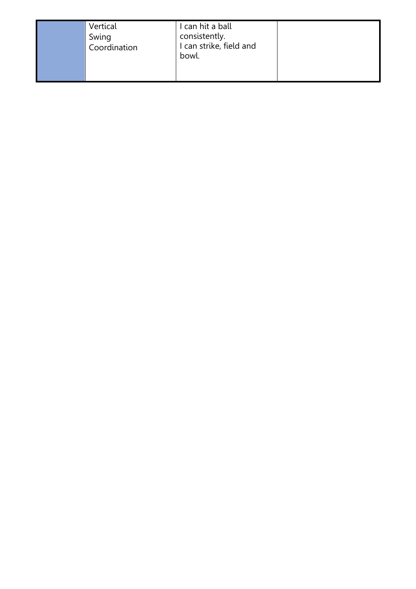

## I can hit a ball

consistently.

I can strike, field and

bowl.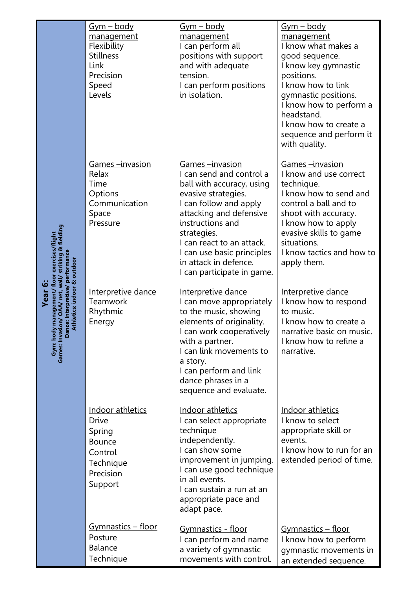|                                                                                      | <u>Gym – body</u><br>management<br>Flexibility<br><b>Stillness</b><br>Link<br>Precision<br>Speed<br>Levels  | <u>Gym – body</u><br>management<br>I can perform all<br>positions with support<br>and with adequate<br>tension.<br>I can perform positions<br>in isolation.                                                                                                                                                      | <u>Gym – body</u><br>management<br>I know what makes a<br>good sequence.<br>I know key gymnastic<br>positions.<br>I know how to link<br>gymnastic positions.<br>I know how to perform a<br>headstand.<br>I know how to create a<br>sequence and perform it<br>with quality. |
|--------------------------------------------------------------------------------------|-------------------------------------------------------------------------------------------------------------|------------------------------------------------------------------------------------------------------------------------------------------------------------------------------------------------------------------------------------------------------------------------------------------------------------------|-----------------------------------------------------------------------------------------------------------------------------------------------------------------------------------------------------------------------------------------------------------------------------|
| striking & fielding<br>exercises/flight                                              | <u>Games –invasion</u><br>Relax<br>Time<br>Options<br>Communication<br>Space<br>Pressure                    | <u>Games –invasion</u><br>I can send and control a<br>ball with accuracy, using<br>evasive strategies.<br>I can follow and apply<br>attacking and defensive<br>instructions and<br>strategies.<br>I can react to an attack.<br>I can use basic principles<br>in attack in defence.<br>I can participate in game. | Games -invasion<br>I know and use correct<br>technique.<br>I know how to send and<br>control a ball and to<br>shoot with accuracy.<br>I know how to apply<br>evasive skills to game<br>situations.<br>I know tactics and how to<br>apply them.                              |
| <b>Year 6:</b><br><b>Athletics: indoor</b><br>Games: Invasion<br>Dance:<br>Gym: body | Interpretive dance<br><b>Teamwork</b><br>Rhythmic<br>Energy                                                 | Interpretive dance<br>I can move appropriately<br>to the music, showing<br>elements of originality.<br>I can work cooperatively<br>with a partner.<br>I can link movements to<br>a story.<br>I can perform and link<br>dance phrases in a<br>sequence and evaluate.                                              | Interpretive dance<br>I know how to respond<br>to music.<br>I know how to create a<br>narrative basic on music.<br>I know how to refine a<br>narrative.                                                                                                                     |
|                                                                                      | Indoor athletics<br><b>Drive</b><br>Spring<br><b>Bounce</b><br>Control<br>Technique<br>Precision<br>Support | Indoor athletics<br>I can select appropriate<br>technique<br>independently.<br>I can show some<br>improvement in jumping.<br>I can use good technique<br>in all events.<br>I can sustain a run at an<br>appropriate pace and<br>adapt pace.                                                                      | Indoor athletics<br>I know to select<br>appropriate skill or<br>events.<br>I know how to run for an<br>extended period of time.                                                                                                                                             |
|                                                                                      | <u> Gymnastics – floor</u><br>Posture<br><b>Balance</b><br>Technique                                        | <b>Gymnastics - floor</b><br>I can perform and name<br>a variety of gymnastic<br>movements with control.                                                                                                                                                                                                         | <u> Gymnastics – floor</u><br>I know how to perform<br>gymnastic movements in<br>an extended sequence.                                                                                                                                                                      |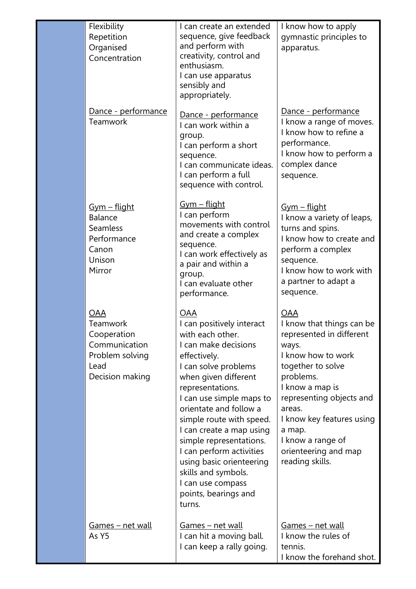| Flexibility<br>Repetition<br>Organised<br>Concentration                                       | I can create an extended<br>sequence, give feedback<br>and perform with<br>creativity, control and<br>enthusiasm.<br>I can use apparatus<br>sensibly and<br>appropriately.                                                                                                                                                                                                                                                                             | I know how to apply<br>gymnastic principles to<br>apparatus.                                                                                                                                                                                                                                         |
|-----------------------------------------------------------------------------------------------|--------------------------------------------------------------------------------------------------------------------------------------------------------------------------------------------------------------------------------------------------------------------------------------------------------------------------------------------------------------------------------------------------------------------------------------------------------|------------------------------------------------------------------------------------------------------------------------------------------------------------------------------------------------------------------------------------------------------------------------------------------------------|
| Dance - performance<br>Teamwork                                                               | Dance - performance<br>I can work within a<br>group.<br>I can perform a short<br>sequence.<br>I can communicate ideas.<br>I can perform a full<br>sequence with control.                                                                                                                                                                                                                                                                               | Dance - performance<br>I know a range of moves.<br>I know how to refine a<br>performance.<br>I know how to perform a<br>complex dance<br>sequence.                                                                                                                                                   |
| <u>Gym – flight</u><br><b>Balance</b><br>Seamless<br>Performance<br>Canon<br>Unison<br>Mirror | <u> Gym – flight</u><br>I can perform<br>movements with control<br>and create a complex<br>sequence.<br>I can work effectively as<br>a pair and within a<br>group.<br>I can evaluate other<br>performance.                                                                                                                                                                                                                                             | <u> Gym – flight</u><br>I know a variety of leaps,<br>turns and spins.<br>I know how to create and<br>perform a complex<br>sequence.<br>I know how to work with<br>a partner to adapt a<br>sequence.                                                                                                 |
| OAA<br>Teamwork<br>Cooperation<br>Communication<br>Problem solving<br>Lead<br>Decision making | <u>OAA</u><br>I can positively interact<br>with each other.<br>I can make decisions<br>effectively.<br>I can solve problems<br>when given different<br>representations.<br>I can use simple maps to<br>orientate and follow a<br>simple route with speed.<br>I can create a map using<br>simple representations.<br>I can perform activities<br>using basic orienteering<br>skills and symbols.<br>I can use compass<br>points, bearings and<br>turns. | <b>OAA</b><br>I know that things can be<br>represented in different<br>ways.<br>I know how to work<br>together to solve<br>problems.<br>I know a map is<br>representing objects and<br>areas.<br>I know key features using<br>a map.<br>I know a range of<br>orienteering and map<br>reading skills. |
| Games - net wall<br>As Y5                                                                     | <u> Games – net wall</u><br>I can hit a moving ball.<br>I can keep a rally going.                                                                                                                                                                                                                                                                                                                                                                      | <u>Games – net wall</u><br>I know the rules of<br>tennis.<br>I know the forehand shot.                                                                                                                                                                                                               |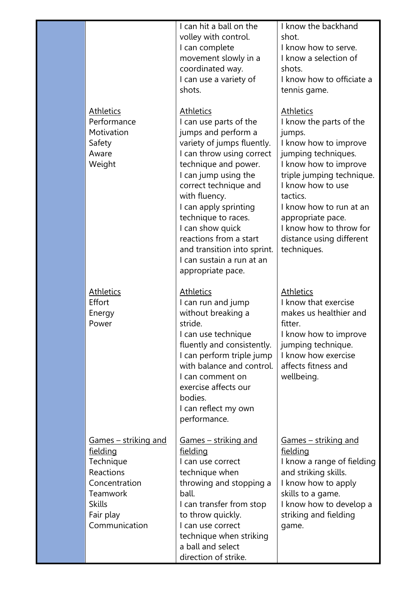|                                                                                                                                                       | I can hit a ball on the<br>volley with control.<br>I can complete<br>movement slowly in a<br>coordinated way.<br>I can use a variety of<br>shots.                                                                                                                                                                                                                                                     | I know the backhand<br>shot.<br>I know how to serve.<br>I know a selection of<br>shots.<br>I know how to officiate a<br>tennis game.                                                                                                                                                                               |
|-------------------------------------------------------------------------------------------------------------------------------------------------------|-------------------------------------------------------------------------------------------------------------------------------------------------------------------------------------------------------------------------------------------------------------------------------------------------------------------------------------------------------------------------------------------------------|--------------------------------------------------------------------------------------------------------------------------------------------------------------------------------------------------------------------------------------------------------------------------------------------------------------------|
| <u>Athletics</u><br>Performance<br>Motivation<br>Safety<br>Aware<br>Weight                                                                            | <b>Athletics</b><br>I can use parts of the<br>jumps and perform a<br>variety of jumps fluently.<br>I can throw using correct<br>technique and power.<br>I can jump using the<br>correct technique and<br>with fluency.<br>I can apply sprinting<br>technique to races.<br>I can show quick<br>reactions from a start<br>and transition into sprint.<br>I can sustain a run at an<br>appropriate pace. | <b>Athletics</b><br>I know the parts of the<br>jumps.<br>I know how to improve<br>jumping techniques.<br>I know how to improve<br>triple jumping technique.<br>I know how to use<br>tactics.<br>I know how to run at an<br>appropriate pace.<br>I know how to throw for<br>distance using different<br>techniques. |
| <u>Athletics</u><br><b>Effort</b><br>Energy<br>Power                                                                                                  | <b>Athletics</b><br>I can run and jump<br>without breaking a<br>stride.<br>I can use technique<br>fluently and consistently.<br>I can perform triple jump<br>with balance and control.<br>I can comment on<br>exercise affects our<br>bodies.<br>I can reflect my own<br>performance.                                                                                                                 | <b>Athletics</b><br>I know that exercise<br>makes us healthier and<br>fitter.<br>I know how to improve<br>jumping technique.<br>I know how exercise<br>affects fitness and<br>wellbeing.                                                                                                                           |
| <u> Games – striking and</u><br><u>fielding</u><br>Technique<br>Reactions<br>Concentration<br>Teamwork<br><b>Skills</b><br>Fair play<br>Communication | <u>Games – striking and</u><br>fielding<br>I can use correct<br>technique when<br>throwing and stopping a<br>ball.<br>I can transfer from stop<br>to throw quickly.<br>I can use correct<br>technique when striking<br>a ball and select<br>direction of strike.                                                                                                                                      | <u> Games – striking and</u><br><u>fielding</u><br>I know a range of fielding<br>and striking skills.<br>I know how to apply<br>skills to a game.<br>I know how to develop a<br>striking and fielding<br>game.                                                                                                     |